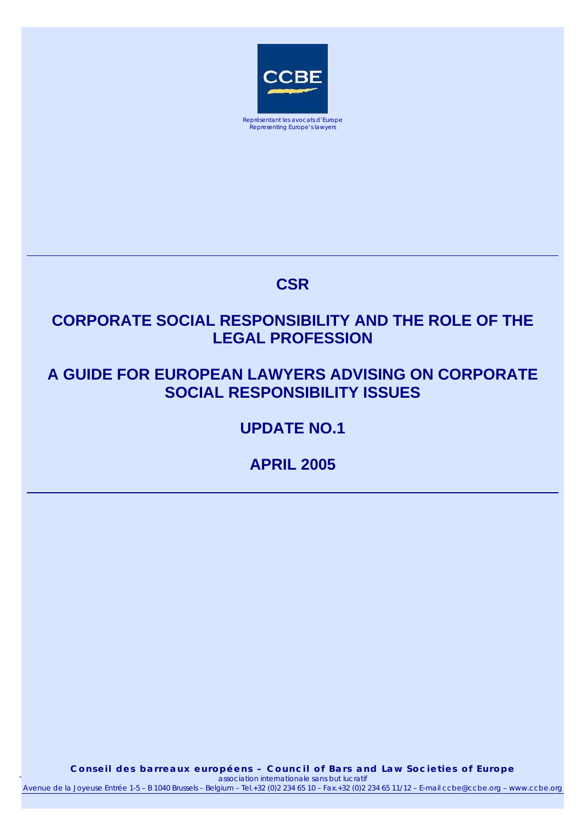

# **CSR**

# **CORPORATE SOCIAL RESPONSIBILITY AND THE ROLE OF THE LEGAL PROFESSION**

# **A GUIDE FOR EUROPEAN LAWYERS ADVISING ON CORPORATE SOCIAL RESPONSIBILITY ISSUES**

**UPDATE NO.1** 

**APRIL 2005** 

*association internationale sans but lucratif* Conseil des barreaux européens - Council of Bars and Law Societies of Europe April 2005 *association internationale sans but lucratif* 1 Avenue de la Joyeuse Entrée 1-5 – B 1040 Brussels – Belgium – Tel.+32 (0)2 234 65 10 – Fax.+32 (0)2 234 65 11/12 – E-mail ccbe@ccbe.org – www.ccbe.org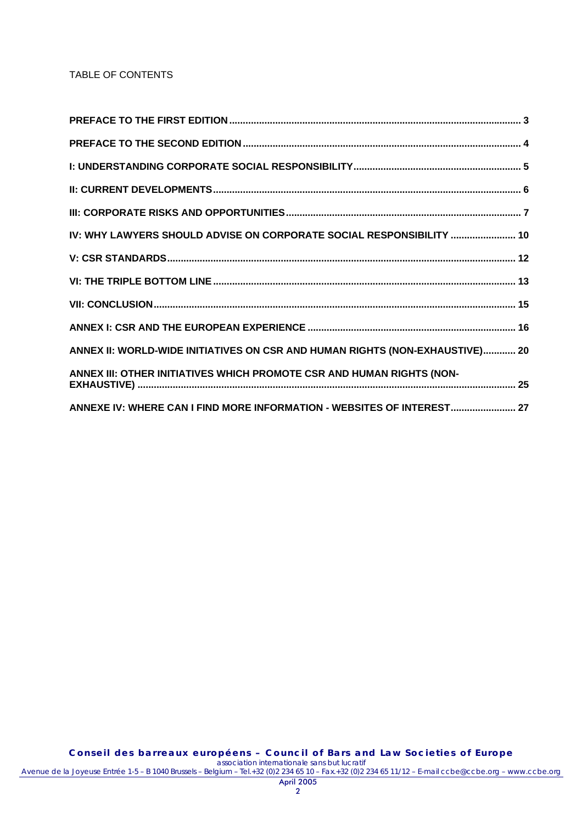### TABLE OF CONTENTS

| IV: WHY LAWYERS SHOULD ADVISE ON CORPORATE SOCIAL RESPONSIBILITY  10         |
|------------------------------------------------------------------------------|
|                                                                              |
|                                                                              |
|                                                                              |
|                                                                              |
| ANNEX II: WORLD-WIDE INITIATIVES ON CSR AND HUMAN RIGHTS (NON-EXHAUSTIVE) 20 |
| ANNEX III: OTHER INITIATIVES WHICH PROMOTE CSR AND HUMAN RIGHTS (NON-        |
| ANNEXE IV: WHERE CAN I FIND MORE INFORMATION - WEBSITES OF INTEREST 27       |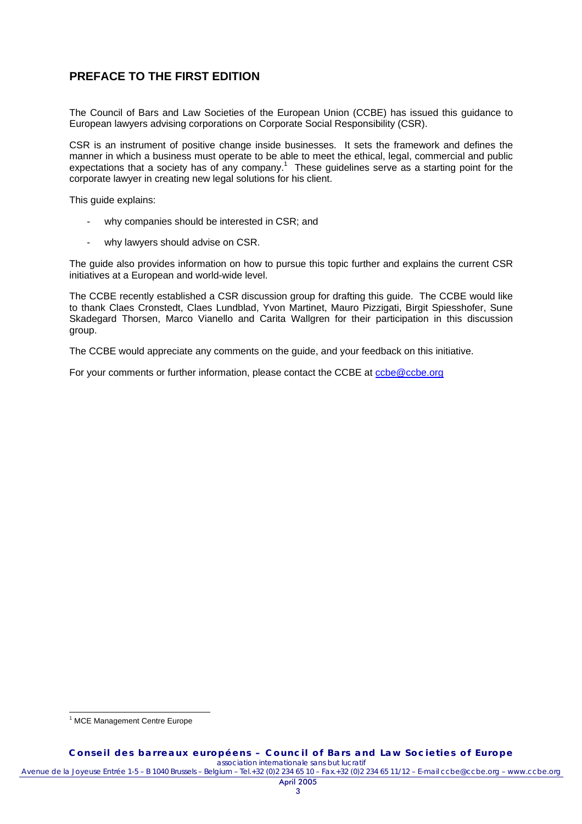# **PREFACE TO THE FIRST EDITION**

The Council of Bars and Law Societies of the European Union (CCBE) has issued this guidance to European lawyers advising corporations on Corporate Social Responsibility (CSR).

CSR is an instrument of positive change inside businesses. It sets the framework and defines the manner in which a business must operate to be able to meet the ethical, legal, commercial and public expectations that a society has of any company.<sup>1</sup> These guidelines serve as a starting point for the corporate lawyer in creating new legal solutions for his client.

This guide explains:

- why companies should be interested in CSR; and
- why lawyers should advise on CSR.

The guide also provides information on how to pursue this topic further and explains the current CSR initiatives at a European and world-wide level.

The CCBE recently established a CSR discussion group for drafting this guide. The CCBE would like to thank Claes Cronstedt, Claes Lundblad, Yvon Martinet, Mauro Pizzigati, Birgit Spiesshofer, Sune Skadegard Thorsen, Marco Vianello and Carita Wallgren for their participation in this discussion group.

The CCBE would appreciate any comments on the guide, and your feedback on this initiative.

For your comments or further information, please contact the CCBE at ccbe@ccbe.org

 $\overline{a}$ <sup>1</sup> MCE Management Centre Europe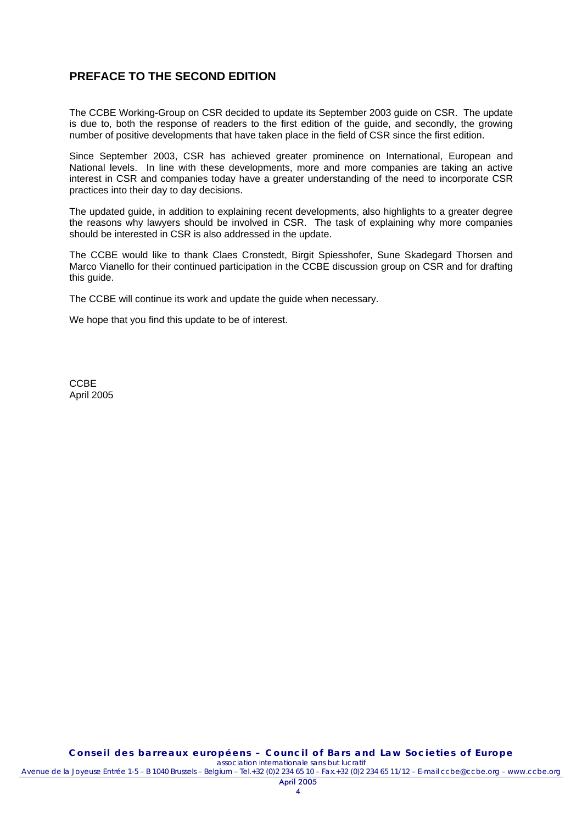### **PREFACE TO THE SECOND EDITION**

The CCBE Working-Group on CSR decided to update its September 2003 guide on CSR. The update is due to, both the response of readers to the first edition of the guide, and secondly, the growing number of positive developments that have taken place in the field of CSR since the first edition.

Since September 2003, CSR has achieved greater prominence on International, European and National levels. In line with these developments, more and more companies are taking an active interest in CSR and companies today have a greater understanding of the need to incorporate CSR practices into their day to day decisions.

The updated guide, in addition to explaining recent developments, also highlights to a greater degree the reasons why lawyers should be involved in CSR. The task of explaining why more companies should be interested in CSR is also addressed in the update.

The CCBE would like to thank Claes Cronstedt, Birgit Spiesshofer, Sune Skadegard Thorsen and Marco Vianello for their continued participation in the CCBE discussion group on CSR and for drafting this guide.

The CCBE will continue its work and update the guide when necessary.

We hope that you find this update to be of interest.

**CCBE** April 2005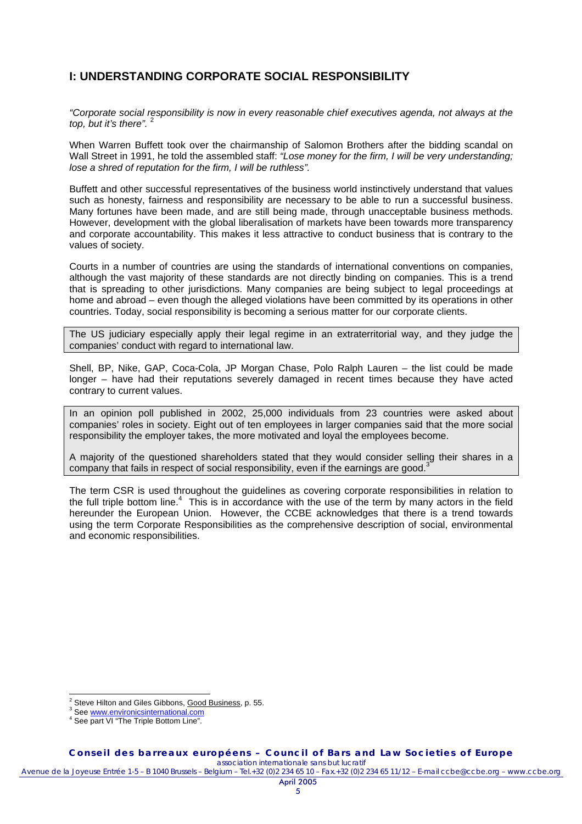## **I: UNDERSTANDING CORPORATE SOCIAL RESPONSIBILITY**

*"Corporate social responsibility is now in every reasonable chief executives agenda, not always at the top, but it's there".* <sup>2</sup>

When Warren Buffett took over the chairmanship of Salomon Brothers after the bidding scandal on Wall Street in 1991, he told the assembled staff: *"Lose money for the firm, I will be very understanding; lose a shred of reputation for the firm, I will be ruthless".*

Buffett and other successful representatives of the business world instinctively understand that values such as honesty, fairness and responsibility are necessary to be able to run a successful business. Many fortunes have been made, and are still being made, through unacceptable business methods. However, development with the global liberalisation of markets have been towards more transparency and corporate accountability. This makes it less attractive to conduct business that is contrary to the values of society.

Courts in a number of countries are using the standards of international conventions on companies, although the vast majority of these standards are not directly binding on companies. This is a trend that is spreading to other jurisdictions. Many companies are being subject to legal proceedings at home and abroad – even though the alleged violations have been committed by its operations in other countries. Today, social responsibility is becoming a serious matter for our corporate clients.

The US judiciary especially apply their legal regime in an extraterritorial way, and they judge the companies' conduct with regard to international law.

Shell, BP, Nike, GAP, Coca-Cola, JP Morgan Chase, Polo Ralph Lauren – the list could be made longer – have had their reputations severely damaged in recent times because they have acted contrary to current values.

In an opinion poll published in 2002, 25,000 individuals from 23 countries were asked about companies' roles in society. Eight out of ten employees in larger companies said that the more social responsibility the employer takes, the more motivated and loyal the employees become.

A majority of the questioned shareholders stated that they would consider selling their shares in a company that fails in respect of social responsibility, even if the earnings are good.<sup>3</sup>

The term CSR is used throughout the guidelines as covering corporate responsibilities in relation to the full triple bottom line.<sup>4</sup> This is in accordance with the use of the term by many actors in the field hereunder the European Union. However, the CCBE acknowledges that there is a trend towards using the term Corporate Responsibilities as the comprehensive description of social, environmental and economic responsibilities.

 $\overline{a}$ 

<sup>2</sup> Steve Hilton and Giles Gibbons, Good Business, p. 55.

<sup>&</sup>lt;sup>3</sup> See www.envir<u>onicsinternational.com</u>

<sup>&</sup>lt;sup>4</sup> See part VI "The Triple Bottom Line".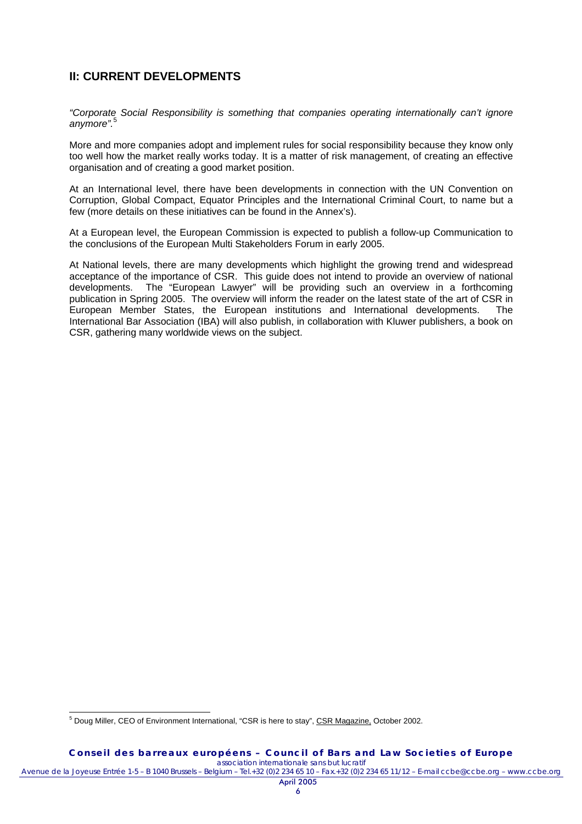### **II: CURRENT DEVELOPMENTS**

*"Corporate Social Responsibility is something that companies operating internationally can't ignore anymore".*<sup>5</sup>

More and more companies adopt and implement rules for social responsibility because they know only too well how the market really works today. It is a matter of risk management, of creating an effective organisation and of creating a good market position.

At an International level, there have been developments in connection with the UN Convention on Corruption, Global Compact, Equator Principles and the International Criminal Court, to name but a few (more details on these initiatives can be found in the Annex's).

At a European level, the European Commission is expected to publish a follow-up Communication to the conclusions of the European Multi Stakeholders Forum in early 2005.

At National levels, there are many developments which highlight the growing trend and widespread acceptance of the importance of CSR. This guide does not intend to provide an overview of national developments. The "European Lawyer" will be providing such an overview in a forthcoming publication in Spring 2005. The overview will inform the reader on the latest state of the art of CSR in European Member States, the European institutions and International developments. The International Bar Association (IBA) will also publish, in collaboration with Kluwer publishers, a book on CSR, gathering many worldwide views on the subject.

 $\overline{a}$ 

<sup>&</sup>lt;sup>5</sup> Doug Miller, CEO of Environment International, "CSR is here to stay", CSR Magazine, October 2002.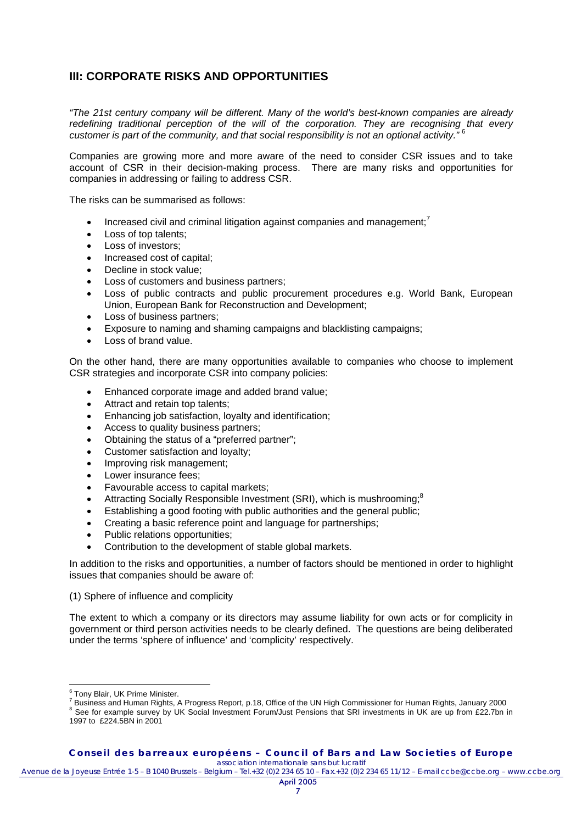# **III: CORPORATE RISKS AND OPPORTUNITIES**

*"The 21st century company will be different. Many of the world's best-known companies are already redefining traditional perception of the will of the corporation. They are recognising that every customer is part of the community, and that social responsibility is not an optional activity."* <sup>6</sup>

Companies are growing more and more aware of the need to consider CSR issues and to take account of CSR in their decision-making process. There are many risks and opportunities for companies in addressing or failing to address CSR.

The risks can be summarised as follows:

- Increased civil and criminal litigation against companies and management;<sup>7</sup>
- Loss of top talents:
- Loss of investors;
- Increased cost of capital;
- Decline in stock value;
- Loss of customers and business partners;
- Loss of public contracts and public procurement procedures e.g. World Bank, European Union, European Bank for Reconstruction and Development;
- Loss of business partners;
- Exposure to naming and shaming campaigns and blacklisting campaigns;
- Loss of brand value.

On the other hand, there are many opportunities available to companies who choose to implement CSR strategies and incorporate CSR into company policies:

- Enhanced corporate image and added brand value;
- Attract and retain top talents:
- Enhancing job satisfaction, loyalty and identification;
- Access to quality business partners;
- Obtaining the status of a "preferred partner";
- Customer satisfaction and loyalty;
- Improving risk management;
- Lower insurance fees;
- Favourable access to capital markets;
- Attracting Socially Responsible Investment (SRI), which is mushrooming;<sup>8</sup>
- Establishing a good footing with public authorities and the general public;
- Creating a basic reference point and language for partnerships;
- Public relations opportunities;
- Contribution to the development of stable global markets.

In addition to the risks and opportunities, a number of factors should be mentioned in order to highlight issues that companies should be aware of:

(1) Sphere of influence and complicity

The extent to which a company or its directors may assume liability for own acts or for complicity in government or third person activities needs to be clearly defined. The questions are being deliberated under the terms 'sphere of influence' and 'complicity' respectively.

<sup>&</sup>lt;sup>6</sup> Tony Blair, UK Prime Minister.<br><sup>7</sup> Business and Urman Birkto. <sup>0</sup>

Business and Human Rights, A Progress Report, p.18, Office of the UN High Commissioner for Human Rights, January 2000 8

<sup>&</sup>lt;sup>8</sup> See for example survey by UK Social Investment Forum/Just Pensions that SRI investments in UK are up from £22.7bn in 1997 to £224.5BN in 2001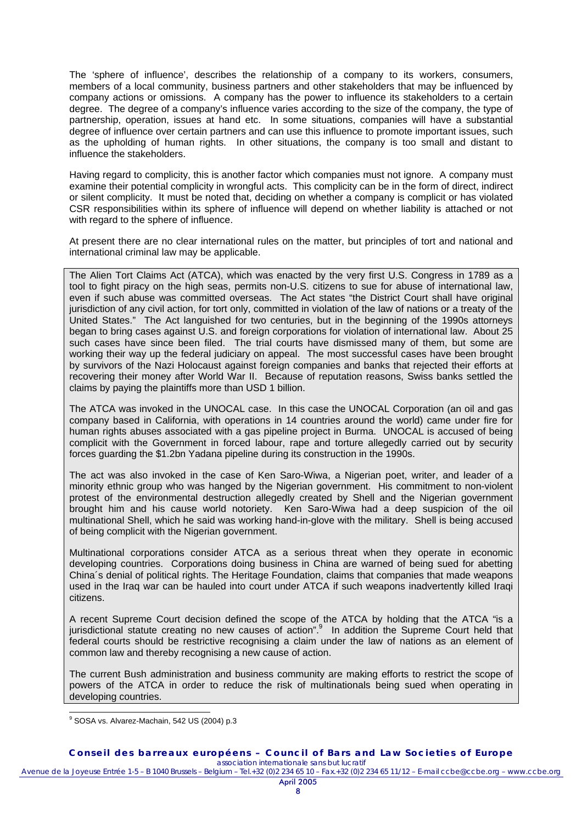The 'sphere of influence', describes the relationship of a company to its workers, consumers, members of a local community, business partners and other stakeholders that may be influenced by company actions or omissions. A company has the power to influence its stakeholders to a certain degree. The degree of a company's influence varies according to the size of the company, the type of partnership, operation, issues at hand etc. In some situations, companies will have a substantial degree of influence over certain partners and can use this influence to promote important issues, such as the upholding of human rights. In other situations, the company is too small and distant to influence the stakeholders.

Having regard to complicity, this is another factor which companies must not ignore. A company must examine their potential complicity in wrongful acts. This complicity can be in the form of direct, indirect or silent complicity. It must be noted that, deciding on whether a company is complicit or has violated CSR responsibilities within its sphere of influence will depend on whether liability is attached or not with regard to the sphere of influence.

At present there are no clear international rules on the matter, but principles of tort and national and international criminal law may be applicable.

The Alien Tort Claims Act (ATCA), which was enacted by the very first U.S. Congress in 1789 as a tool to fight piracy on the high seas, permits non-U.S. citizens to sue for abuse of international law, even if such abuse was committed overseas. The Act states "the District Court shall have original jurisdiction of any civil action, for tort only, committed in violation of the law of nations or a treaty of the United States." The Act languished for two centuries, but in the beginning of the 1990s attorneys began to bring cases against U.S. and foreign corporations for violation of international law. About 25 such cases have since been filed. The trial courts have dismissed many of them, but some are working their way up the federal judiciary on appeal. The most successful cases have been brought by survivors of the Nazi Holocaust against foreign companies and banks that rejected their efforts at recovering their money after World War II. Because of reputation reasons, Swiss banks settled the claims by paying the plaintiffs more than USD 1 billion.

The ATCA was invoked in the UNOCAL case. In this case the UNOCAL Corporation (an oil and gas company based in California, with operations in 14 countries around the world) came under fire for human rights abuses associated with a gas pipeline project in Burma. UNOCAL is accused of being complicit with the Government in forced labour, rape and torture allegedly carried out by security forces guarding the \$1.2bn Yadana pipeline during its construction in the 1990s.

The act was also invoked in the case of Ken Saro-Wiwa, a Nigerian poet, writer, and leader of a minority ethnic group who was hanged by the Nigerian government. His commitment to non-violent protest of the environmental destruction allegedly created by Shell and the Nigerian government brought him and his cause world notoriety. Ken Saro-Wiwa had a deep suspicion of the oil multinational Shell, which he said was working hand-in-glove with the military. Shell is being accused of being complicit with the Nigerian government.

Multinational corporations consider ATCA as a serious threat when they operate in economic developing countries. Corporations doing business in China are warned of being sued for abetting China´s denial of political rights. The Heritage Foundation, claims that companies that made weapons used in the Iraq war can be hauled into court under ATCA if such weapons inadvertently killed Iraqi citizens.

A recent Supreme Court decision defined the scope of the ATCA by holding that the ATCA "is a jurisdictional statute creating no new causes of action".<sup>9</sup> In addition the Supreme Court held that federal courts should be restrictive recognising a claim under the law of nations as an element of common law and thereby recognising a new cause of action.

The current Bush administration and business community are making efforts to restrict the scope of powers of the ATCA in order to reduce the risk of multinationals being sued when operating in developing countries.

 $\overline{a}$ 

**Conseil des barreaux européens – Council of Bars and Law Societies of Europe**  *association internationale sans but lucratif*

<sup>9</sup> SOSA vs. Alvarez-Machain, 542 US (2004) p.3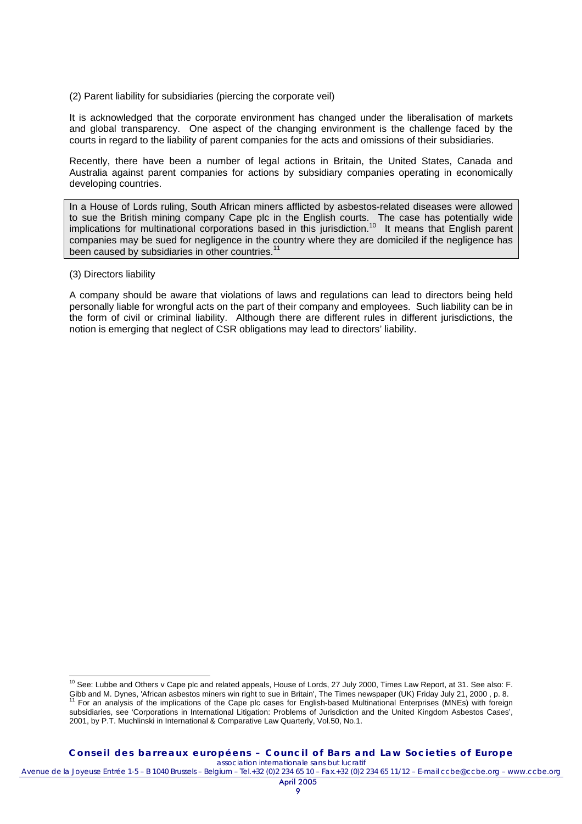(2) Parent liability for subsidiaries (piercing the corporate veil)

It is acknowledged that the corporate environment has changed under the liberalisation of markets and global transparency. One aspect of the changing environment is the challenge faced by the courts in regard to the liability of parent companies for the acts and omissions of their subsidiaries.

Recently, there have been a number of legal actions in Britain, the United States, Canada and Australia against parent companies for actions by subsidiary companies operating in economically developing countries.

In a House of Lords ruling, South African miners afflicted by asbestos-related diseases were allowed to sue the British mining company Cape plc in the English courts. The case has potentially wide implications for multinational corporations based in this jurisdiction.<sup>10</sup> It means that English parent implications for multinational corporations based in this jurisdiction.<sup>10</sup> companies may be sued for negligence in the country where they are domiciled if the negligence has been caused by subsidiaries in other countries.<sup>11</sup>

#### (3) Directors liability

 $\overline{a}$ 

A company should be aware that violations of laws and regulations can lead to directors being held personally liable for wrongful acts on the part of their company and employees. Such liability can be in the form of civil or criminal liability. Although there are different rules in different jurisdictions, the notion is emerging that neglect of CSR obligations may lead to directors' liability.

 $10$  See: Lubbe and Others v Cape plc and related appeals, House of Lords, 27 July 2000, Times Law Report, at 31. See also: F. Gibb and M. Dynes, 'African asbestos miners win right to sue in Britain', The Times newspaper (UK) Friday July 21, 2000, p. 8.<br><sup>11</sup> For an analysis of the implications of the Cape plc cases for English-based Multinational subsidiaries, see 'Corporations in International Litigation: Problems of Jurisdiction and the United Kingdom Asbestos Cases', 2001, by P.T. Muchlinski in International & Comparative Law Quarterly, Vol.50, No.1.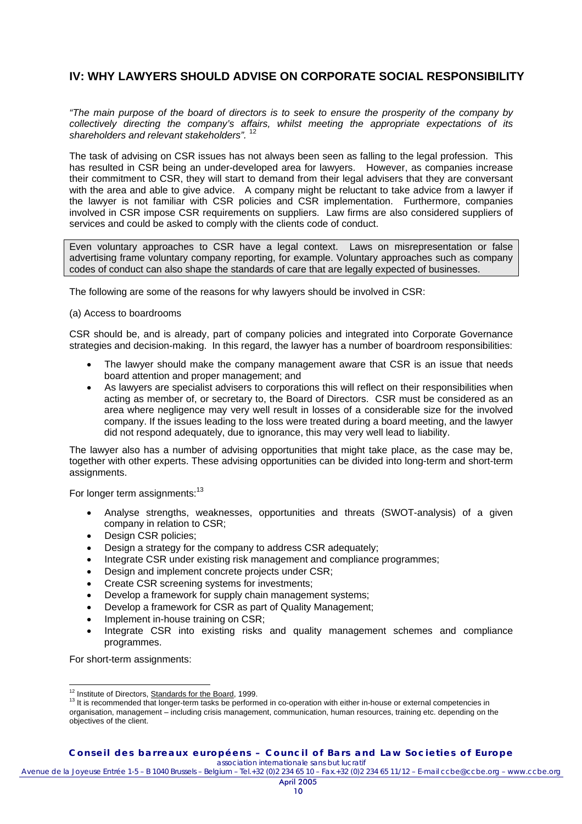# **IV: WHY LAWYERS SHOULD ADVISE ON CORPORATE SOCIAL RESPONSIBILITY**

*"The main purpose of the board of directors is to seek to ensure the prosperity of the company by collectively directing the company's affairs, whilst meeting the appropriate expectations of its shareholders and relevant stakeholders".* <sup>12</sup>

The task of advising on CSR issues has not always been seen as falling to the legal profession. This has resulted in CSR being an under-developed area for lawyers. However, as companies increase their commitment to CSR, they will start to demand from their legal advisers that they are conversant with the area and able to give advice. A company might be reluctant to take advice from a lawyer if the lawyer is not familiar with CSR policies and CSR implementation. Furthermore, companies involved in CSR impose CSR requirements on suppliers. Law firms are also considered suppliers of services and could be asked to comply with the clients code of conduct.

Even voluntary approaches to CSR have a legal context. Laws on misrepresentation or false advertising frame voluntary company reporting, for example. Voluntary approaches such as company codes of conduct can also shape the standards of care that are legally expected of businesses.

The following are some of the reasons for why lawyers should be involved in CSR:

### (a) Access to boardrooms

CSR should be, and is already, part of company policies and integrated into Corporate Governance strategies and decision-making. In this regard, the lawyer has a number of boardroom responsibilities:

- The lawyer should make the company management aware that CSR is an issue that needs board attention and proper management; and
- As lawyers are specialist advisers to corporations this will reflect on their responsibilities when acting as member of, or secretary to, the Board of Directors. CSR must be considered as an area where negligence may very well result in losses of a considerable size for the involved company. If the issues leading to the loss were treated during a board meeting, and the lawyer did not respond adequately, due to ignorance, this may very well lead to liability.

The lawyer also has a number of advising opportunities that might take place, as the case may be, together with other experts. These advising opportunities can be divided into long-term and short-term assignments.

For longer term assignments:<sup>13</sup>

- Analyse strengths, weaknesses, opportunities and threats (SWOT-analysis) of a given company in relation to CSR;
- Design CSR policies;
- Design a strategy for the company to address CSR adequately;
- Integrate CSR under existing risk management and compliance programmes;
- Design and implement concrete projects under CSR;
- Create CSR screening systems for investments;
- Develop a framework for supply chain management systems;
- Develop a framework for CSR as part of Quality Management;
- Implement in-house training on CSR;
- Integrate CSR into existing risks and quality management schemes and compliance programmes.

For short-term assignments:

**Conseil des barreaux européens – Council of Bars and Law Societies of Europe**  *association internationale sans but lucratif*

<sup>&</sup>lt;sup>12</sup> Institute of Directors, **Standards for the Board**, 1999.

<sup>&</sup>lt;sup>13</sup> It is recommended that longer-term tasks be performed in co-operation with either in-house or external competencies in organisation, management – including crisis management, communication, human resources, training etc. depending on the objectives of the client.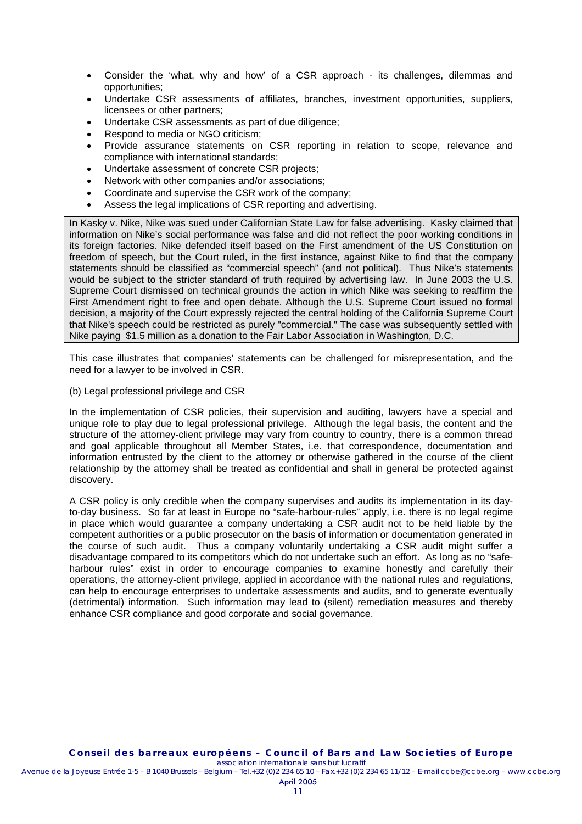- Consider the 'what, why and how' of a CSR approach its challenges, dilemmas and opportunities;
- Undertake CSR assessments of affiliates, branches, investment opportunities, suppliers, licensees or other partners;
- Undertake CSR assessments as part of due diligence;
- Respond to media or NGO criticism;
- Provide assurance statements on CSR reporting in relation to scope, relevance and compliance with international standards;
- Undertake assessment of concrete CSR projects;
- Network with other companies and/or associations;
- Coordinate and supervise the CSR work of the company;
- Assess the legal implications of CSR reporting and advertising.

In Kasky v. Nike, Nike was sued under Californian State Law for false advertising. Kasky claimed that information on Nike's social performance was false and did not reflect the poor working conditions in its foreign factories. Nike defended itself based on the First amendment of the US Constitution on freedom of speech, but the Court ruled, in the first instance, against Nike to find that the company statements should be classified as "commercial speech" (and not political). Thus Nike's statements would be subject to the stricter standard of truth required by advertising law. In June 2003 the U.S. Supreme Court dismissed on technical grounds the action in which Nike was seeking to reaffirm the First Amendment right to free and open debate. Although the U.S. Supreme Court issued no formal decision, a majority of the Court expressly rejected the central holding of the California Supreme Court that Nike's speech could be restricted as purely "commercial." The case was subsequently settled with Nike paying \$1.5 million as a donation to the Fair Labor Association in Washington, D.C.

This case illustrates that companies' statements can be challenged for misrepresentation, and the need for a lawyer to be involved in CSR.

(b) Legal professional privilege and CSR

In the implementation of CSR policies, their supervision and auditing, lawyers have a special and unique role to play due to legal professional privilege. Although the legal basis, the content and the structure of the attorney-client privilege may vary from country to country, there is a common thread and goal applicable throughout all Member States, i.e. that correspondence, documentation and information entrusted by the client to the attorney or otherwise gathered in the course of the client relationship by the attorney shall be treated as confidential and shall in general be protected against discovery.

A CSR policy is only credible when the company supervises and audits its implementation in its dayto-day business. So far at least in Europe no "safe-harbour-rules" apply, i.e. there is no legal regime in place which would guarantee a company undertaking a CSR audit not to be held liable by the competent authorities or a public prosecutor on the basis of information or documentation generated in the course of such audit. Thus a company voluntarily undertaking a CSR audit might suffer a disadvantage compared to its competitors which do not undertake such an effort. As long as no "safeharbour rules" exist in order to encourage companies to examine honestly and carefully their operations, the attorney-client privilege, applied in accordance with the national rules and regulations, can help to encourage enterprises to undertake assessments and audits, and to generate eventually (detrimental) information. Such information may lead to (silent) remediation measures and thereby enhance CSR compliance and good corporate and social governance.

Avenue de la Joyeuse Entrée 1-5 – B 1040 Brussels – Belgium – Tel.+32 (0)2 234 65 10 – Fax.+32 (0)2 234 65 11/12 – E-mail ccbe@ccbe.org – www.ccbe.org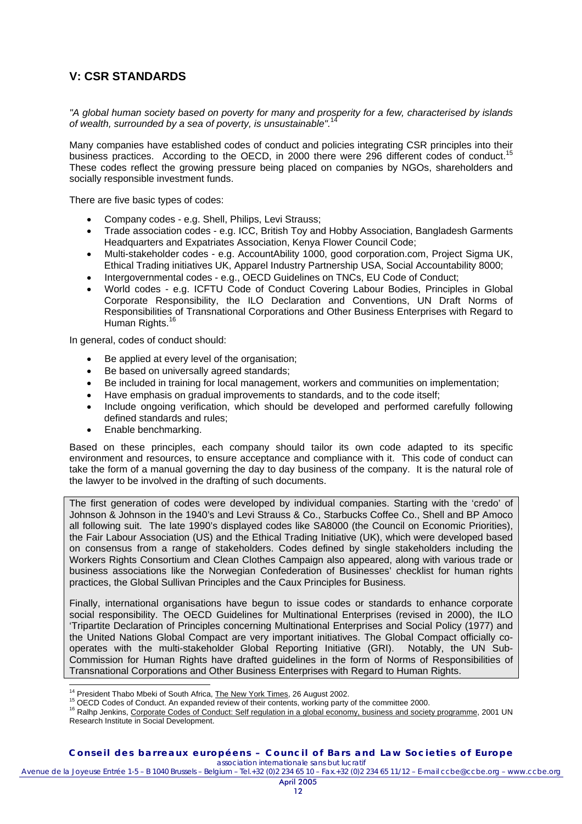# **V: CSR STANDARDS**

*"A global human society based on poverty for many and prosperity for a few, characterised by islands of wealth, surrounded by a sea of poverty, is unsustainable".*<sup>14</sup>

Many companies have established codes of conduct and policies integrating CSR principles into their business practices. According to the OECD, in 2000 there were 296 different codes of conduct.<sup>15</sup> These codes reflect the growing pressure being placed on companies by NGOs, shareholders and socially responsible investment funds.

There are five basic types of codes:

- Company codes e.g. Shell, Philips, Levi Strauss;
- Trade association codes e.g. ICC, British Toy and Hobby Association, Bangladesh Garments Headquarters and Expatriates Association, Kenya Flower Council Code;
- Multi-stakeholder codes e.g. AccountAbility 1000, good corporation.com, Project Sigma UK, Ethical Trading initiatives UK, Apparel Industry Partnership USA, Social Accountability 8000;
- Intergovernmental codes e.g., OECD Guidelines on TNCs, EU Code of Conduct;
- World codes e.g. ICFTU Code of Conduct Covering Labour Bodies, Principles in Global Corporate Responsibility, the ILO Declaration and Conventions, UN Draft Norms of Responsibilities of Transnational Corporations and Other Business Enterprises with Regard to Human Rights.<sup>16</sup>

In general, codes of conduct should:

- Be applied at every level of the organisation;
- Be based on universally agreed standards;
- Be included in training for local management, workers and communities on implementation;
- Have emphasis on gradual improvements to standards, and to the code itself;
- Include ongoing verification, which should be developed and performed carefully following defined standards and rules;
- Enable benchmarking.

Based on these principles, each company should tailor its own code adapted to its specific environment and resources, to ensure acceptance and compliance with it. This code of conduct can take the form of a manual governing the day to day business of the company. It is the natural role of the lawyer to be involved in the drafting of such documents.

The first generation of codes were developed by individual companies. Starting with the 'credo' of Johnson & Johnson in the 1940's and Levi Strauss & Co., Starbucks Coffee Co., Shell and BP Amoco all following suit. The late 1990's displayed codes like SA8000 (the Council on Economic Priorities), the Fair Labour Association (US) and the Ethical Trading Initiative (UK), which were developed based on consensus from a range of stakeholders. Codes defined by single stakeholders including the Workers Rights Consortium and Clean Clothes Campaign also appeared, along with various trade or business associations like the Norwegian Confederation of Businesses' checklist for human rights practices, the Global Sullivan Principles and the Caux Principles for Business.

Finally, international organisations have begun to issue codes or standards to enhance corporate social responsibility. The OECD Guidelines for Multinational Enterprises (revised in 2000), the ILO 'Tripartite Declaration of Principles concerning Multinational Enterprises and Social Policy (1977) and the United Nations Global Compact are very important initiatives. The Global Compact officially cooperates with the multi-stakeholder Global Reporting Initiative (GRI). Notably, the UN Sub-Commission for Human Rights have drafted guidelines in the form of Norms of Responsibilities of Transnational Corporations and Other Business Enterprises with Regard to Human Rights.

<sup>&</sup>lt;sup>14</sup> President Thabo Mbeki of South Africa, The New York Times, 26 August 2002.

<sup>&</sup>lt;sup>15</sup> OECD Codes of Conduct. An expanded review of their contents, working party of the committee 2000.<br><sup>16</sup> Ralhp Jenkins, Corporate Codes of Conduct: Self regulation in a global economy, business and society programme, 20 Research Institute in Social Development.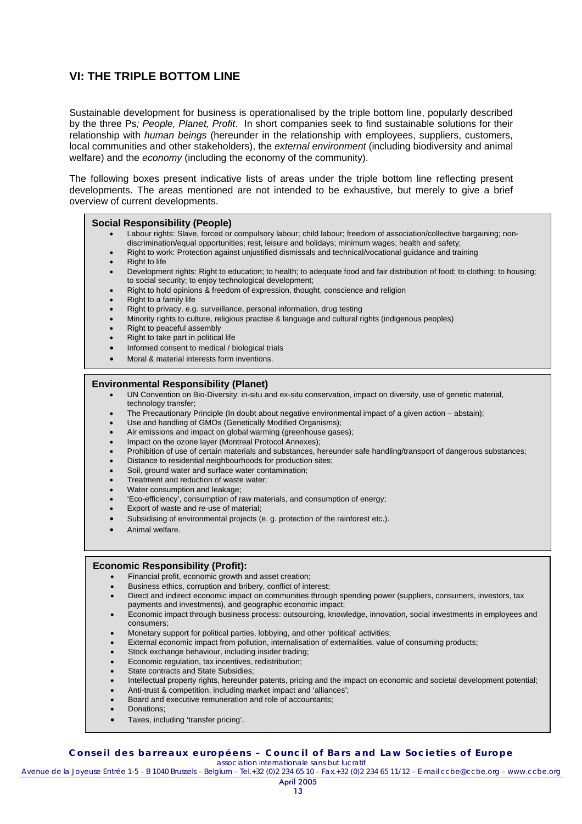# **VI: THE TRIPLE BOTTOM LINE**

Sustainable development for business is operationalised by the triple bottom line, popularly described by the three Ps*; People, Planet, Profit*. In short companies seek to find sustainable solutions for their relationship with *human beings* (hereunder in the relationship with employees, suppliers, customers, local communities and other stakeholders), the *external environment* (including biodiversity and animal welfare) and the *economy* (including the economy of the community).

The following boxes present indicative lists of areas under the triple bottom line reflecting present developments. The areas mentioned are not intended to be exhaustive, but merely to give a brief overview of current developments.

### **Social Responsibility (People)**

- Labour rights: Slave, forced or compulsory labour; child labour; freedom of association/collective bargaining; nondiscrimination/equal opportunities; rest, leisure and holidays; minimum wages; health and safety;
- Right to work: Protection against unjustified dismissals and technical/vocational guidance and training
- **Right to life**
- Development rights: Right to education; to health; to adequate food and fair distribution of food; to clothing; to housing; to social security; to enjoy technological development;
- Right to hold opinions & freedom of expression, thought, conscience and religion
- Right to a family life
- Right to privacy, e.g. surveillance, personal information, drug testing
- Minority rights to culture, religious practise & language and cultural rights (indigenous peoples)
- Right to peaceful assembly
- Right to take part in political life
- Informed consent to medical / biological trials
- Moral & material interests form inventions.

#### **Environmental Responsibility (Planet)**

- UN Convention on Bio-Diversity: in-situ and ex-situ conservation, impact on diversity, use of genetic material, technology transfer;
- The Precautionary Principle (In doubt about negative environmental impact of a given action abstain);
- Use and handling of GMOs (Genetically Modified Organisms);
- Air emissions and impact on global warming (greenhouse gases);
- Impact on the ozone layer (Montreal Protocol Annexes);
- Prohibition of use of certain materials and substances, hereunder safe handling/transport of dangerous substances;
- Distance to residential neighbourhoods for production sites;
- Soil, ground water and surface water contamination;
- Treatment and reduction of waste water;
- Water consumption and leakage;
- 'Eco-efficiency', consumption of raw materials, and consumption of energy;
- Export of waste and re-use of material;
- Subsidising of environmental projects (e. g. protection of the rainforest etc.).
- Animal welfare.

#### **Economic Responsibility (Profit):**

- Financial profit, economic growth and asset creation;
- Business ethics, corruption and bribery, conflict of interest;
- Direct and indirect economic impact on communities through spending power (suppliers, consumers, investors, tax payments and investments), and geographic economic impact;
- Economic impact through business process: outsourcing, knowledge, innovation, social investments in employees and consumers;
- Monetary support for political parties, lobbying, and other 'political' activities;
- External economic impact from pollution, internalisation of externalities, value of consuming products;
- Stock exchange behaviour, including insider trading;
- Economic regulation, tax incentives, redistribution;
- State contracts and State Subsidies:
- Intellectual property rights, hereunder patents, pricing and the impact on economic and societal development potential;
- Anti-trust & competition, including market impact and 'alliances';
- Board and executive remuneration and role of accountants;
- Donations;
- Taxes, including 'transfer pricing'.

#### **Conseil des barreaux européens – Council of Bars and Law Societies of Europe**  *association internationale sans but lucratif*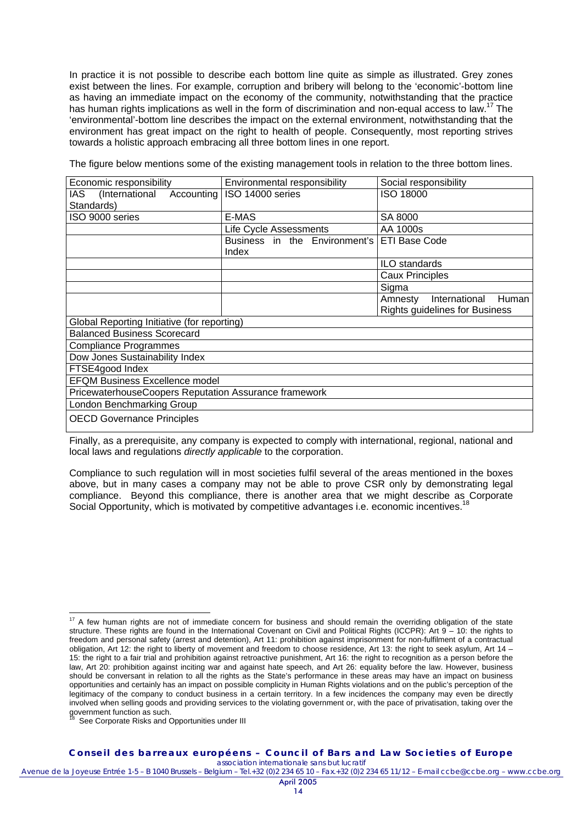In practice it is not possible to describe each bottom line quite as simple as illustrated. Grey zones exist between the lines. For example, corruption and bribery will belong to the 'economic'-bottom line as having an immediate impact on the economy of the community, notwithstanding that the practice has human rights implications as well in the form of discrimination and non-equal access to law.<sup>17</sup> The 'environmental'-bottom line describes the impact on the external environment, notwithstanding that the environment has great impact on the right to health of people. Consequently, most reporting strives towards a holistic approach embracing all three bottom lines in one report.

The figure below mentions some of the existing management tools in relation to the three bottom lines.

| Economic responsibility                               | Environmental responsibility  | Social responsibility                 |  |
|-------------------------------------------------------|-------------------------------|---------------------------------------|--|
| (International<br>Accounting<br>IAS.                  | ISO 14000 series              | <b>ISO 18000</b>                      |  |
| Standards)                                            |                               |                                       |  |
| ISO 9000 series                                       | E-MAS                         | SA 8000                               |  |
|                                                       | Life Cycle Assessments        | AA 1000s                              |  |
|                                                       | Business in the Environment's | <b>ETI Base Code</b>                  |  |
|                                                       | Index                         |                                       |  |
|                                                       |                               | ILO standards                         |  |
|                                                       |                               | <b>Caux Principles</b>                |  |
|                                                       |                               | Sigma                                 |  |
|                                                       |                               | International Human<br>Amnesty        |  |
|                                                       |                               | <b>Rights guidelines for Business</b> |  |
| Global Reporting Initiative (for reporting)           |                               |                                       |  |
| <b>Balanced Business Scorecard</b>                    |                               |                                       |  |
| <b>Compliance Programmes</b>                          |                               |                                       |  |
| Dow Jones Sustainability Index                        |                               |                                       |  |
| FTSE4good Index                                       |                               |                                       |  |
| <b>EFQM Business Excellence model</b>                 |                               |                                       |  |
| PricewaterhouseCoopers Reputation Assurance framework |                               |                                       |  |
| London Benchmarking Group                             |                               |                                       |  |
| <b>OECD Governance Principles</b>                     |                               |                                       |  |

Finally, as a prerequisite, any company is expected to comply with international, regional, national and local laws and regulations *directly applicable* to the corporation.

Compliance to such regulation will in most societies fulfil several of the areas mentioned in the boxes above, but in many cases a company may not be able to prove CSR only by demonstrating legal compliance. Beyond this compliance, there is another area that we might describe as Corporate Social Opportunity, which is motivated by competitive advantages i.e. economic incentives.<sup>18</sup>

See Corporate Risks and Opportunities under III

**Conseil des barreaux européens – Council of Bars and Law Societies of Europe**  *association internationale sans but lucratif*

 $\overline{a}$  $17$  A few human rights are not of immediate concern for business and should remain the overriding obligation of the state structure. These rights are found in the International Covenant on Civil and Political Rights (ICCPR): Art 9 – 10: the rights to freedom and personal safety (arrest and detention), Art 11: prohibition against imprisonment for non-fulfilment of a contractual obligation, Art 12: the right to liberty of movement and freedom to choose residence, Art 13: the right to seek asylum, Art 14 – 15: the right to a fair trial and prohibition against retroactive punishment, Art 16: the right to recognition as a person before the law, Art 20: prohibition against inciting war and against hate speech, and Art 26: equality before the law. However, business should be conversant in relation to all the rights as the State's performance in these areas may have an impact on business opportunities and certainly has an impact on possible complicity in Human Rights violations and on the public's perception of the legitimacy of the company to conduct business in a certain territory. In a few incidences the company may even be directly involved when selling goods and providing services to the violating government or, with the pace of privatisation, taking over the government function as such.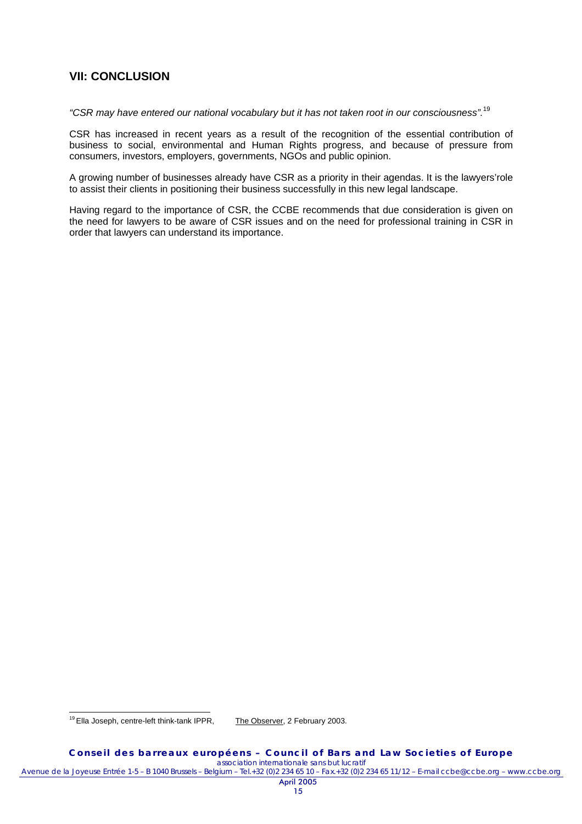### **VII: CONCLUSION**

*"CSR may have entered our national vocabulary but it has not taken root in our consciousness".*<sup>19</sup>

CSR has increased in recent years as a result of the recognition of the essential contribution of business to social, environmental and Human Rights progress, and because of pressure from consumers, investors, employers, governments, NGOs and public opinion.

A growing number of businesses already have CSR as a priority in their agendas. It is the lawyers'role to assist their clients in positioning their business successfully in this new legal landscape.

Having regard to the importance of CSR, the CCBE recommends that due consideration is given on the need for lawyers to be aware of CSR issues and on the need for professional training in CSR in order that lawyers can understand its importance.

<sup>19</sup> Ella Joseph, centre-left think-tank IPPR, The Observer, 2 February 2003.

 $\overline{a}$ 

**Conseil des barreaux européens – Council of Bars and Law Societies of Europe**  *association internationale sans but lucratif*

Avenue de la Joyeuse Entrée 1-5 – B 1040 Brussels – Belgium – Tel.+32 (0)2 234 65 10 – Fax.+32 (0)2 234 65 11/12 – E-mail ccbe@ccbe.org – www.ccbe.org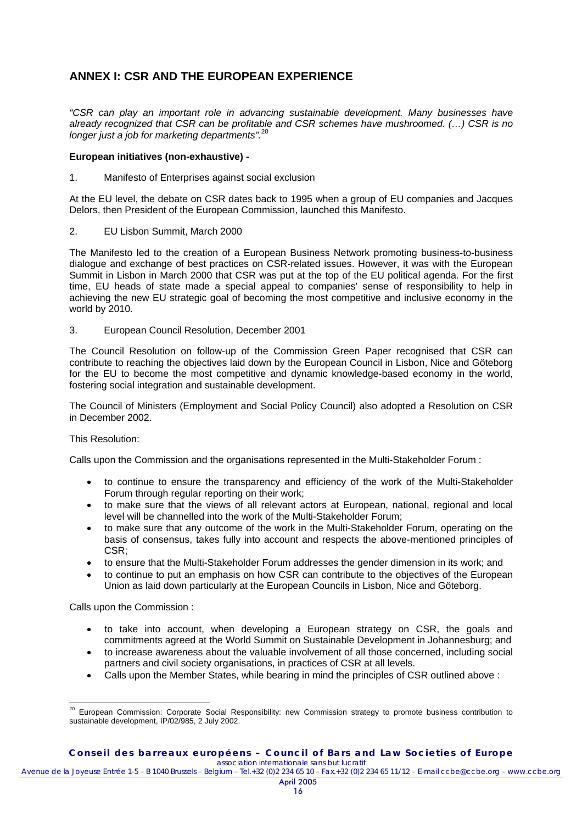# **ANNEX I: CSR AND THE EUROPEAN EXPERIENCE**

*"CSR can play an important role in advancing sustainable development. Many businesses have already recognized that CSR can be profitable and CSR schemes have mushroomed. (…) CSR is no longer just a job for marketing departments".*<sup>20</sup>

### **European initiatives (non-exhaustive) -**

1. Manifesto of Enterprises against social exclusion

At the EU level, the debate on CSR dates back to 1995 when a group of EU companies and Jacques Delors, then President of the European Commission, launched this Manifesto.

2. EU Lisbon Summit, March 2000

The Manifesto led to the creation of a European Business Network promoting business-to-business dialogue and exchange of best practices on CSR-related issues. However, it was with the European Summit in Lisbon in March 2000 that CSR was put at the top of the EU political agenda. For the first time, EU heads of state made a special appeal to companies' sense of responsibility to help in achieving the new EU strategic goal of becoming the most competitive and inclusive economy in the world by 2010.

3. European Council Resolution, December 2001

The Council Resolution on follow-up of the Commission Green Paper recognised that CSR can contribute to reaching the objectives laid down by the European Council in Lisbon, Nice and Göteborg for the EU to become the most competitive and dynamic knowledge-based economy in the world, fostering social integration and sustainable development.

The Council of Ministers (Employment and Social Policy Council) also adopted a Resolution on CSR in December 2002.

### This Resolution:

Calls upon the Commission and the organisations represented in the Multi-Stakeholder Forum :

- to continue to ensure the transparency and efficiency of the work of the Multi-Stakeholder Forum through regular reporting on their work;
- to make sure that the views of all relevant actors at European, national, regional and local level will be channelled into the work of the Multi-Stakeholder Forum;
- to make sure that any outcome of the work in the Multi-Stakeholder Forum, operating on the basis of consensus, takes fully into account and respects the above-mentioned principles of CSR;
- to ensure that the Multi-Stakeholder Forum addresses the gender dimension in its work; and
- to continue to put an emphasis on how CSR can contribute to the objectives of the European Union as laid down particularly at the European Councils in Lisbon, Nice and Göteborg.

Calls upon the Commission :

- to take into account, when developing a European strategy on CSR, the goals and commitments agreed at the World Summit on Sustainable Development in Johannesburg; and
- to increase awareness about the valuable involvement of all those concerned, including social partners and civil society organisations, in practices of CSR at all levels.
- Calls upon the Member States, while bearing in mind the principles of CSR outlined above :

 $\overline{a}$  $^{20}$  European Commission: Corporate Social Responsibility: new Commission strategy to promote business contribution to sustainable development, IP/02/985, 2 July 2002.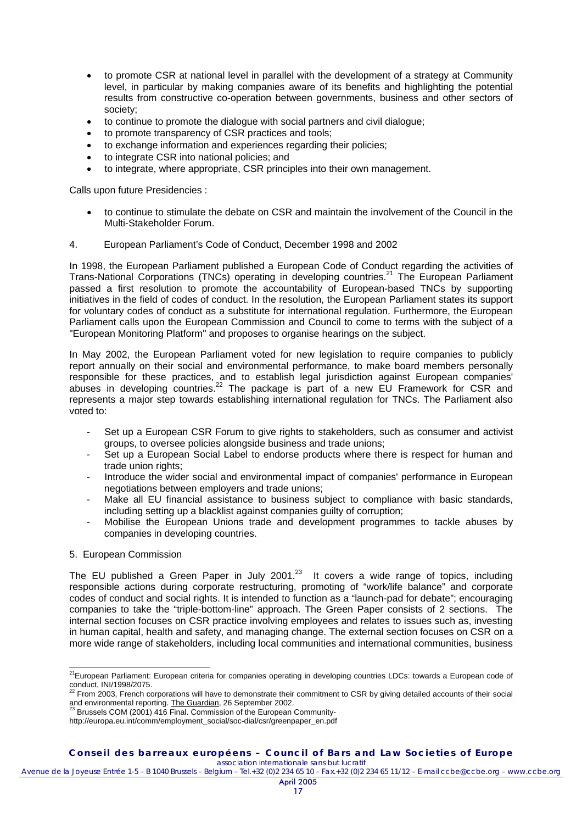- to promote CSR at national level in parallel with the development of a strategy at Community level, in particular by making companies aware of its benefits and highlighting the potential results from constructive co-operation between governments, business and other sectors of society;
- to continue to promote the dialogue with social partners and civil dialogue;
- to promote transparency of CSR practices and tools;
- to exchange information and experiences regarding their policies;
- to integrate CSR into national policies; and
- to integrate, where appropriate, CSR principles into their own management.

Calls upon future Presidencies :

- to continue to stimulate the debate on CSR and maintain the involvement of the Council in the Multi-Stakeholder Forum.
- 4. European Parliament's Code of Conduct, December 1998 and 2002

In 1998, the European Parliament published a European Code of Conduct regarding the activities of Trans-National Corporations (TNCs) operating in developing countries.<sup>21</sup> The European Parliament passed a first resolution to promote the accountability of European-based TNCs by supporting initiatives in the field of codes of conduct. In the resolution, the European Parliament states its support for voluntary codes of conduct as a substitute for international regulation. Furthermore, the European Parliament calls upon the European Commission and Council to come to terms with the subject of a "European Monitoring Platform" and proposes to organise hearings on the subject.

In May 2002, the European Parliament voted for new legislation to require companies to publicly report annually on their social and environmental performance, to make board members personally responsible for these practices, and to establish legal jurisdiction against European companies' abuses in developing countries.<sup>22</sup> The package is part of a new EU Framework for CSR and represents a major step towards establishing international regulation for TNCs. The Parliament also voted to:

- Set up a European CSR Forum to give rights to stakeholders, such as consumer and activist groups, to oversee policies alongside business and trade unions;
- Set up a European Social Label to endorse products where there is respect for human and trade union rights;
- Introduce the wider social and environmental impact of companies' performance in European negotiations between employers and trade unions;
- Make all EU financial assistance to business subject to compliance with basic standards, including setting up a blacklist against companies quilty of corruption:
- Mobilise the European Unions trade and development programmes to tackle abuses by companies in developing countries.

### 5. European Commission

 $\overline{a}$ 

The EU published a Green Paper in July 2001.<sup>23</sup> It covers a wide range of topics, including responsible actions during corporate restructuring, promoting of "work/life balance" and corporate codes of conduct and social rights. It is intended to function as a "launch-pad for debate"; encouraging companies to take the "triple-bottom-line" approach. The Green Paper consists of 2 sections. The internal section focuses on CSR practice involving employees and relates to issues such as, investing in human capital, health and safety, and managing change. The external section focuses on CSR on a more wide range of stakeholders, including local communities and international communities, business

<sup>&</sup>lt;sup>21</sup>European Parliament: European criteria for companies operating in developing countries LDCs: towards a European code of conduct, INI/1998/2075.

<sup>22</sup> From 2003, French corporations will have to demonstrate their commitment to CSR by giving detailed accounts of their social and environmental reporting. The Guardian, 26 September 2002.<br>
<sup>23</sup> Brussels COM (2001) 416 Final. Commission of the European Community-

http://europa.eu.int/comm/employment\_social/soc-dial/csr/greenpaper\_en.pdf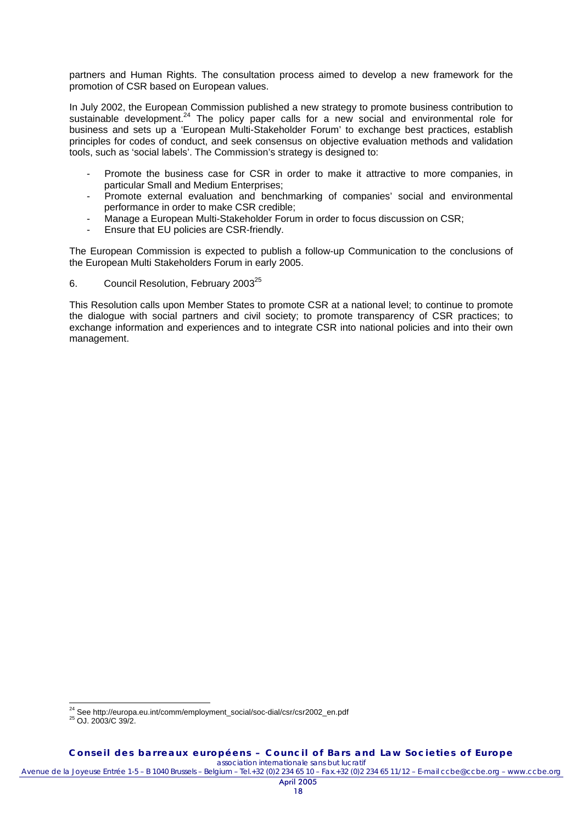partners and Human Rights. The consultation process aimed to develop a new framework for the promotion of CSR based on European values.

In July 2002, the European Commission published a new strategy to promote business contribution to sustainable development.<sup>24</sup> The policy paper calls for a new social and environmental role for business and sets up a 'European Multi-Stakeholder Forum' to exchange best practices, establish principles for codes of conduct, and seek consensus on objective evaluation methods and validation tools, such as 'social labels'. The Commission's strategy is designed to:

- Promote the business case for CSR in order to make it attractive to more companies, in particular Small and Medium Enterprises;
- Promote external evaluation and benchmarking of companies' social and environmental performance in order to make CSR credible;
- Manage a European Multi-Stakeholder Forum in order to focus discussion on CSR;
- Ensure that EU policies are CSR-friendly.

The European Commission is expected to publish a follow-up Communication to the conclusions of the European Multi Stakeholders Forum in early 2005.

6. Council Resolution, February 2003<sup>25</sup>

This Resolution calls upon Member States to promote CSR at a national level; to continue to promote the dialogue with social partners and civil society; to promote transparency of CSR practices; to exchange information and experiences and to integrate CSR into national policies and into their own management.

 $\overline{a}$ 

<sup>&</sup>lt;sup>24</sup> See http://europa.eu.int/comm/employment\_social/soc-dial/csr/csr2002\_en.pdf<br><sup>25</sup> OJ. 2003/C 39/2.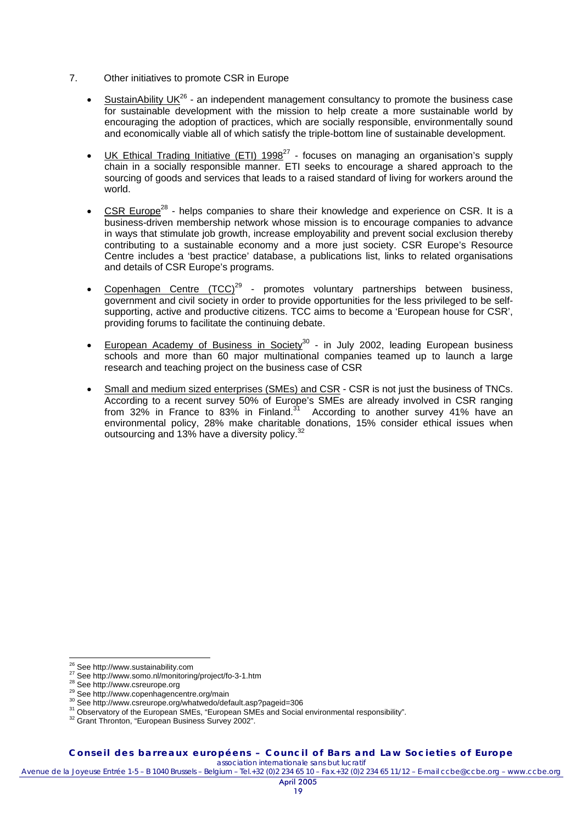- 7. Other initiatives to promote CSR in Europe
	- **SustainAbility UK**<sup>26</sup> an independent management consultancy to promote the business case for sustainable development with the mission to help create a more sustainable world by encouraging the adoption of practices, which are socially responsible, environmentally sound and economically viable all of which satisfy the triple-bottom line of sustainable development.
	- UK Ethical Trading Initiative (ETI)  $1998^{27}$  focuses on managing an organisation's supply chain in a socially responsible manner. ETI seeks to encourage a shared approach to the sourcing of goods and services that leads to a raised standard of living for workers around the world.
	- CSR Europe28 helps companies to share their knowledge and experience on CSR. It is a business-driven membership network whose mission is to encourage companies to advance in ways that stimulate job growth, increase employability and prevent social exclusion thereby contributing to a sustainable economy and a more just society. CSR Europe's Resource Centre includes a 'best practice' database, a publications list, links to related organisations and details of CSR Europe's programs.
	- Copenhagen Centre  $(TCC)^{29}$  promotes voluntary partnerships between business, government and civil society in order to provide opportunities for the less privileged to be selfsupporting, active and productive citizens. TCC aims to become a 'European house for CSR', providing forums to facilitate the continuing debate.
	- **European Academy of Business in Society<sup>30</sup> in July 2002, leading European business** schools and more than 60 major multinational companies teamed up to launch a large research and teaching project on the business case of CSR
	- Small and medium sized enterprises (SMEs) and CSR CSR is not just the business of TNCs. According to a recent survey 50% of Europe's SMEs are already involved in CSR ranging from 32% in France to 83% in Finland.31 According to another survey 41% have an environmental policy, 28% make charitable donations, 15% consider ethical issues when outsourcing and 13% have a diversity policy.<sup>32</sup>

**Conseil des barreaux européens – Council of Bars and Law Societies of Europe** 

*association internationale sans but lucratif*

<sup>&</sup>lt;sup>26</sup> See http://www.sustainability.com

<sup>&</sup>lt;sup>27</sup> See http://www.somo.nl/monitoring/project/fo-3-1.htm<br>
<sup>28</sup> See http://www.somo.nl/monitoring/project/fo-3-1.htm<br>
<sup>28</sup> See http://www.csreurope.org<br>
<sup>30</sup> See http://www.csreurope.org/whatwedo/default.asp?pageid=306<br>
<sup>3</sup>

Avenue de la Joyeuse Entrée 1-5 – B 1040 Brussels – Belgium – Tel.+32 (0)2 234 65 10 – Fax.+32 (0)2 234 65 11/12 – E-mail ccbe@ccbe.org – www.ccbe.org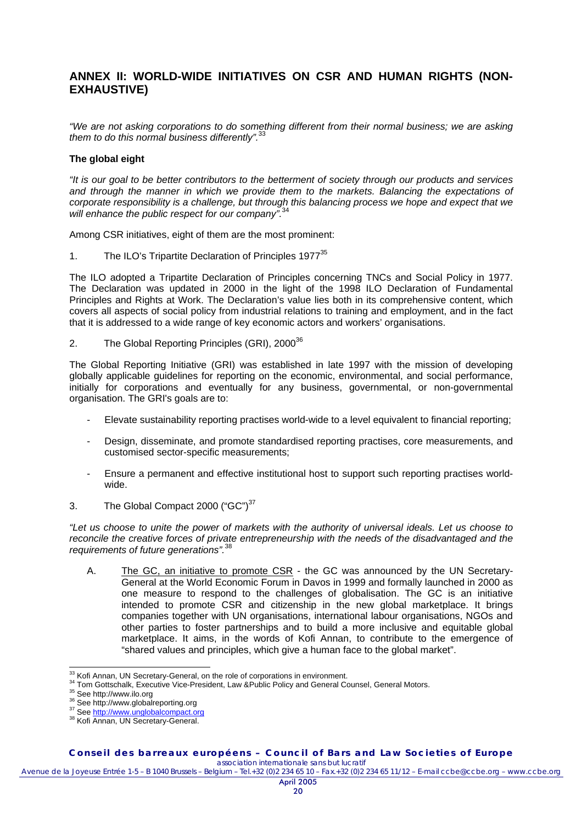## **ANNEX II: WORLD-WIDE INITIATIVES ON CSR AND HUMAN RIGHTS (NON-EXHAUSTIVE)**

*"We are not asking corporations to do something different from their normal business; we are asking them to do this normal business differently".*<sup>33</sup>

### **The global eight**

*"It is our goal to be better contributors to the betterment of society through our products and services and through the manner in which we provide them to the markets. Balancing the expectations of corporate responsibility is a challenge, but through this balancing process we hope and expect that we*  will enhance the public respect for our company".

Among CSR initiatives, eight of them are the most prominent:

1. The ILO's Tripartite Declaration of Principles 1977<sup>35</sup>

The ILO adopted a Tripartite Declaration of Principles concerning TNCs and Social Policy in 1977. The Declaration was updated in 2000 in the light of the 1998 ILO Declaration of Fundamental Principles and Rights at Work. The Declaration's value lies both in its comprehensive content, which covers all aspects of social policy from industrial relations to training and employment, and in the fact that it is addressed to a wide range of key economic actors and workers' organisations.

2. The Global Reporting Principles (GRI), 2000<sup>36</sup>

The Global Reporting Initiative (GRI) was established in late 1997 with the mission of developing globally applicable guidelines for reporting on the economic, environmental, and social performance, initially for corporations and eventually for any business, governmental, or non-governmental organisation. The GRI's goals are to:

- Elevate sustainability reporting practises world-wide to a level equivalent to financial reporting;
- Design, disseminate, and promote standardised reporting practises, core measurements, and customised sector-specific measurements;
- Ensure a permanent and effective institutional host to support such reporting practises worldwide.
- 3. The Global Compact 2000 ("GC")<sup>37</sup>

*"Let us choose to unite the power of markets with the authority of universal ideals. Let us choose to reconcile the creative forces of private entrepreneurship with the needs of the disadvantaged and the requirements of future generations".* 

A. The GC, an initiative to promote CSR - the GC was announced by the UN Secretary-General at the World Economic Forum in Davos in 1999 and formally launched in 2000 as one measure to respond to the challenges of globalisation. The GC is an initiative intended to promote CSR and citizenship in the new global marketplace. It brings companies together with UN organisations, international labour organisations, NGOs and other parties to foster partnerships and to build a more inclusive and equitable global marketplace. It aims, in the words of Kofi Annan, to contribute to the emergence of "shared values and principles, which give a human face to the global market".

**Conseil des barreaux européens – Council of Bars and Law Societies of Europe**  *association internationale sans but lucratif*

<sup>33</sup> Kofi Annan, UN Secretary-General, on the role of corporations in environment.

<sup>&</sup>lt;sup>34</sup> Tom Gottschalk, Executive Vice-President, Law &Public Policy and General Counsel, General Motors.<br><sup>35</sup> See http://www.ilo.org<br><sup>36</sup> See http://www.globalreporting.org<br><sup>37</sup> See http://www.unglobalcompact.org<br><sup>37</sup> See ht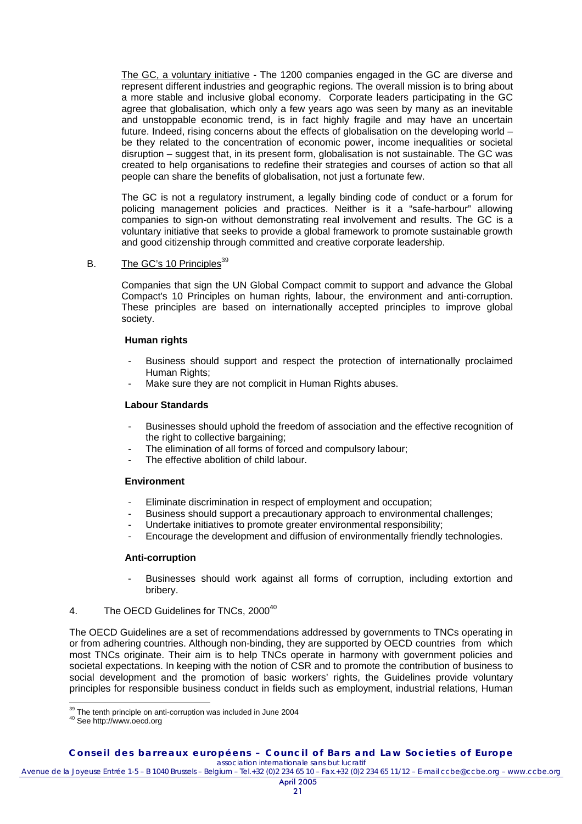The GC, a voluntary initiative - The 1200 companies engaged in the GC are diverse and represent different industries and geographic regions. The overall mission is to bring about a more stable and inclusive global economy. Corporate leaders participating in the GC agree that globalisation, which only a few years ago was seen by many as an inevitable and unstoppable economic trend, is in fact highly fragile and may have an uncertain future. Indeed, rising concerns about the effects of globalisation on the developing world – be they related to the concentration of economic power, income inequalities or societal disruption – suggest that, in its present form, globalisation is not sustainable. The GC was created to help organisations to redefine their strategies and courses of action so that all people can share the benefits of globalisation, not just a fortunate few.

The GC is not a regulatory instrument, a legally binding code of conduct or a forum for policing management policies and practices. Neither is it a "safe-harbour" allowing companies to sign-on without demonstrating real involvement and results. The GC is a voluntary initiative that seeks to provide a global framework to promote sustainable growth and good citizenship through committed and creative corporate leadership.

### B. The GC's 10 Principles<sup>39</sup>

Companies that sign the UN Global Compact commit to support and advance the Global Compact's 10 Principles on human rights, labour, the environment and anti-corruption. These principles are based on internationally accepted principles to improve global society.

#### **Human rights**

- Business should support and respect the protection of internationally proclaimed Human Rights:
- Make sure they are not complicit in Human Rights abuses.

### **Labour Standards**

- Businesses should uphold the freedom of association and the effective recognition of the right to collective bargaining;
- The elimination of all forms of forced and compulsory labour;
- The effective abolition of child labour.

#### **Environment**

- Eliminate discrimination in respect of employment and occupation:
- Business should support a precautionary approach to environmental challenges;
- Undertake initiatives to promote greater environmental responsibility;
- Encourage the development and diffusion of environmentally friendly technologies.

#### **Anti-corruption**

- Businesses should work against all forms of corruption, including extortion and bribery.
- 4. The OECD Guidelines for TNCs, 2000<sup>40</sup>

The OECD Guidelines are a set of recommendations addressed by governments to TNCs operating in or from adhering countries. Although non-binding, they are supported by OECD countries from which most TNCs originate. Their aim is to help TNCs operate in harmony with government policies and societal expectations. In keeping with the notion of CSR and to promote the contribution of business to social development and the promotion of basic workers' rights, the Guidelines provide voluntary principles for responsible business conduct in fields such as employment, industrial relations, Human

 $\overline{a}$ 

 $39$  The tenth principle on anti-corruption was included in June 2004<br><sup>40</sup> See http://www.oecd.org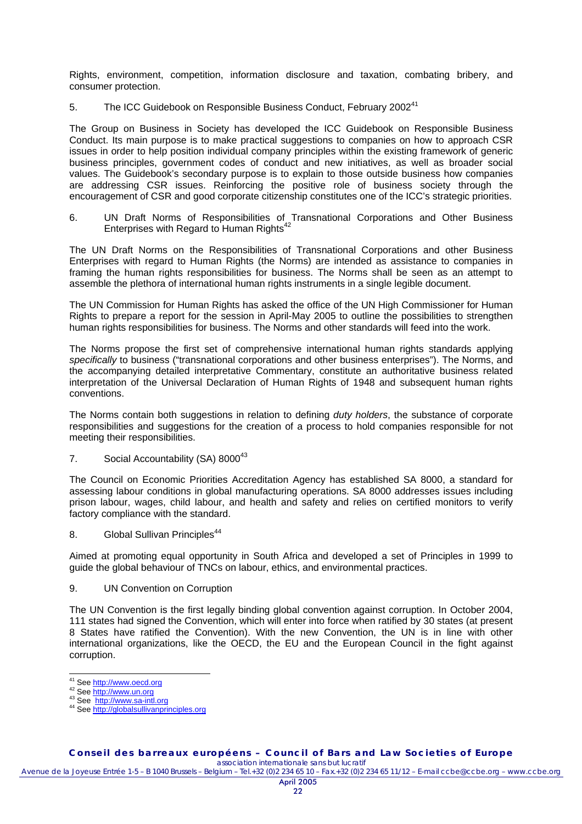Rights, environment, competition, information disclosure and taxation, combating bribery, and consumer protection.

5. The ICC Guidebook on Responsible Business Conduct, February 2002<sup>41</sup>

The Group on Business in Society has developed the ICC Guidebook on Responsible Business Conduct. Its main purpose is to make practical suggestions to companies on how to approach CSR issues in order to help position individual company principles within the existing framework of generic business principles, government codes of conduct and new initiatives, as well as broader social values. The Guidebook's secondary purpose is to explain to those outside business how companies are addressing CSR issues. Reinforcing the positive role of business society through the encouragement of CSR and good corporate citizenship constitutes one of the ICC's strategic priorities.

6. UN Draft Norms of Responsibilities of Transnational Corporations and Other Business Enterprises with Regard to Human Rights<sup>42</sup>

The UN Draft Norms on the Responsibilities of Transnational Corporations and other Business Enterprises with regard to Human Rights (the Norms) are intended as assistance to companies in framing the human rights responsibilities for business. The Norms shall be seen as an attempt to assemble the plethora of international human rights instruments in a single legible document.

The UN Commission for Human Rights has asked the office of the UN High Commissioner for Human Rights to prepare a report for the session in April-May 2005 to outline the possibilities to strengthen human rights responsibilities for business. The Norms and other standards will feed into the work.

The Norms propose the first set of comprehensive international human rights standards applying *specifically* to business ("transnational corporations and other business enterprises"). The Norms, and the accompanying detailed interpretative Commentary, constitute an authoritative business related interpretation of the Universal Declaration of Human Rights of 1948 and subsequent human rights conventions.

The Norms contain both suggestions in relation to defining *duty holders*, the substance of corporate responsibilities and suggestions for the creation of a process to hold companies responsible for not meeting their responsibilities.

7. Social Accountability (SA) 8000<sup>43</sup>

The Council on Economic Priorities Accreditation Agency has established SA 8000, a standard for assessing labour conditions in global manufacturing operations. SA 8000 addresses issues including prison labour, wages, child labour, and health and safety and relies on certified monitors to verify factory compliance with the standard.

8. Global Sullivan Principles<sup>44</sup>

Aimed at promoting equal opportunity in South Africa and developed a set of Principles in 1999 to guide the global behaviour of TNCs on labour, ethics, and environmental practices.

9. UN Convention on Corruption

The UN Convention is the first legally binding global convention against corruption. In October 2004, 111 states had signed the Convention, which will enter into force when ratified by 30 states (at present 8 States have ratified the Convention). With the new Convention, the UN is in line with other international organizations, like the OECD, the EU and the European Council in the fight against corruption.

**Conseil des barreaux européens – Council of Bars and Law Societies of Europe**  *association internationale sans but lucratif*

<sup>&</sup>lt;sup>41</sup> See http://www.oecd.org

<sup>42</sup> See http://www.un.org<br><sup>43</sup> See <u>http://www.sa-intl.org</u><br><sup>44</sup> See <u>http://globalsullivanprinciples.org</u>

Avenue de la Joyeuse Entrée 1-5 – B 1040 Brussels – Belgium – Tel.+32 (0)2 234 65 10 – Fax.+32 (0)2 234 65 11/12 – E-mail ccbe@ccbe.org – www.ccbe.org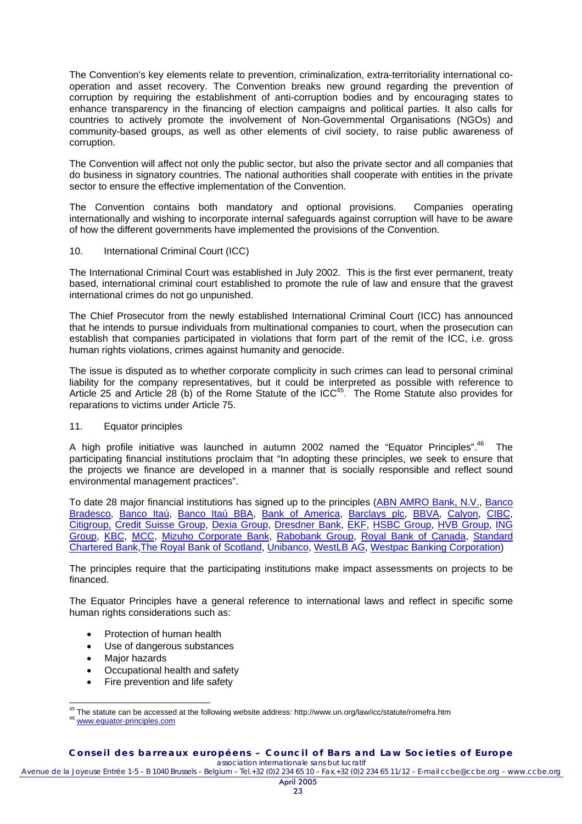The Convention's key elements relate to prevention, criminalization, extra-territoriality international cooperation and asset recovery. The Convention breaks new ground regarding the prevention of corruption by requiring the establishment of anti-corruption bodies and by encouraging states to enhance transparency in the financing of election campaigns and political parties. It also calls for countries to actively promote the involvement of Non-Governmental Organisations (NGOs) and community-based groups, as well as other elements of civil society, to raise public awareness of corruption.

The Convention will affect not only the public sector, but also the private sector and all companies that do business in signatory countries. The national authorities shall cooperate with entities in the private sector to ensure the effective implementation of the Convention.

The Convention contains both mandatory and optional provisions. Companies operating internationally and wishing to incorporate internal safeguards against corruption will have to be aware of how the different governments have implemented the provisions of the Convention.

### 10. International Criminal Court (ICC)

The International Criminal Court was established in July 2002. This is the first ever permanent, treaty based, international criminal court established to promote the rule of law and ensure that the gravest international crimes do not go unpunished.

The Chief Prosecutor from the newly established International Criminal Court (ICC) has announced that he intends to pursue individuals from multinational companies to court, when the prosecution can establish that companies participated in violations that form part of the remit of the ICC, i.e. gross human rights violations, crimes against humanity and genocide.

The issue is disputed as to whether corporate complicity in such crimes can lead to personal criminal liability for the company representatives, but it could be interpreted as possible with reference to Article 25 and Article 28 (b) of the Rome Statute of the ICC<sup>45</sup>. The Rome Statute also provides for reparations to victims under Article 75.

### 11. Equator principles

A high profile initiative was launched in autumn 2002 named the "Equator Principles".<sup>46</sup> The participating financial institutions proclaim that "In adopting these principles, we seek to ensure that the projects we finance are developed in a manner that is socially responsible and reflect sound environmental management practices".

To date 28 major financial institutions has signed up to the principles (ABN AMRO Bank, N.V., Banco Bradesco, Banco Itaú, Banco Itaú BBA, Bank of America, Barclays plc, BBVA, Calyon, CIBC, Citigroup, Credit Suisse Group, Dexia Group, Dresdner Bank, EKF, HSBC Group, HVB Group, ING Group, KBC, MCC, Mizuho Corporate Bank, Rabobank Group, Royal Bank of Canada, Standard Chartered Bank,The Royal Bank of Scotland, Unibanco, WestLB AG, Westpac Banking Corporation)

The principles require that the participating institutions make impact assessments on projects to be financed.

The Equator Principles have a general reference to international laws and reflect in specific some human rights considerations such as:

- Protection of human health
- Use of dangerous substances
- Major hazards
- Occupational health and safety
- Fire prevention and life safety

 $\overline{a}$ <sup>45</sup> The statute can be accessed at the following website address: http://www.un.org/law/icc/statute/romefra.htm<br><sup>46</sup> www.equator-principles.com

Avenue de la Joyeuse Entrée 1-5 – B 1040 Brussels – Belgium – Tel.+32 (0)2 234 65 10 – Fax.+32 (0)2 234 65 11/12 – E-mail ccbe@ccbe.org – www.ccbe.org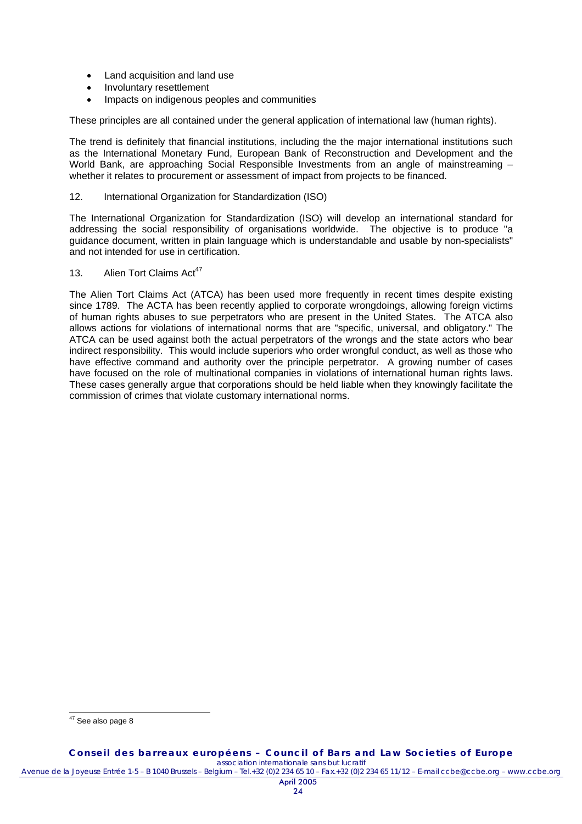- Land acquisition and land use
- Involuntary resettlement
- Impacts on indigenous peoples and communities

These principles are all contained under the general application of international law (human rights).

The trend is definitely that financial institutions, including the the major international institutions such as the International Monetary Fund, European Bank of Reconstruction and Development and the World Bank, are approaching Social Responsible Investments from an angle of mainstreaming whether it relates to procurement or assessment of impact from projects to be financed.

### 12. International Organization for Standardization (ISO)

The International Organization for Standardization (ISO) will develop an international standard for addressing the social responsibility of organisations worldwide. The objective is to produce "a guidance document, written in plain language which is understandable and usable by non-specialists" and not intended for use in certification.

13. Alien Tort Claims Act<sup>47</sup>

The Alien Tort Claims Act (ATCA) has been used more frequently in recent times despite existing since 1789. The ACTA has been recently applied to corporate wrongdoings, allowing foreign victims of human rights abuses to sue perpetrators who are present in the United States. The ATCA also allows actions for violations of international norms that are "specific, universal, and obligatory." The ATCA can be used against both the actual perpetrators of the wrongs and the state actors who bear indirect responsibility. This would include superiors who order wrongful conduct, as well as those who have effective command and authority over the principle perpetrator. A growing number of cases have focused on the role of multinational companies in violations of international human rights laws. These cases generally argue that corporations should be held liable when they knowingly facilitate the commission of crimes that violate customary international norms.

 $\overline{a}$  $47$  See also page 8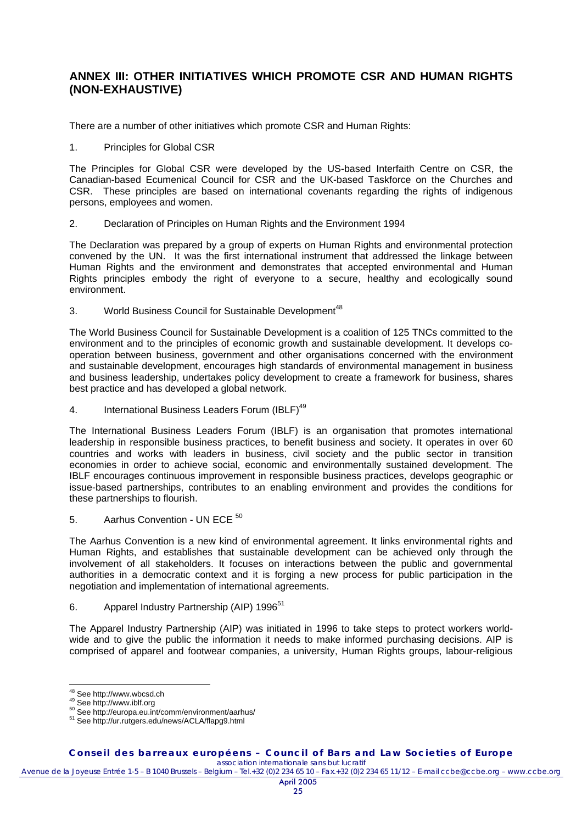### **ANNEX III: OTHER INITIATIVES WHICH PROMOTE CSR AND HUMAN RIGHTS (NON-EXHAUSTIVE)**

There are a number of other initiatives which promote CSR and Human Rights:

1. Principles for Global CSR

The Principles for Global CSR were developed by the US-based Interfaith Centre on CSR, the Canadian-based Ecumenical Council for CSR and the UK-based Taskforce on the Churches and CSR. These principles are based on international covenants regarding the rights of indigenous persons, employees and women.

2. Declaration of Principles on Human Rights and the Environment 1994

The Declaration was prepared by a group of experts on Human Rights and environmental protection convened by the UN. It was the first international instrument that addressed the linkage between Human Rights and the environment and demonstrates that accepted environmental and Human Rights principles embody the right of everyone to a secure, healthy and ecologically sound environment.

3. World Business Council for Sustainable Development<sup>48</sup>

The World Business Council for Sustainable Development is a coalition of 125 TNCs committed to the environment and to the principles of economic growth and sustainable development. It develops cooperation between business, government and other organisations concerned with the environment and sustainable development, encourages high standards of environmental management in business and business leadership, undertakes policy development to create a framework for business, shares best practice and has developed a global network.

4. International Business Leaders Forum (IBLF)<sup>49</sup>

The International Business Leaders Forum (IBLF) is an organisation that promotes international leadership in responsible business practices, to benefit business and society. It operates in over 60 countries and works with leaders in business, civil society and the public sector in transition economies in order to achieve social, economic and environmentally sustained development. The IBLF encourages continuous improvement in responsible business practices, develops geographic or issue-based partnerships, contributes to an enabling environment and provides the conditions for these partnerships to flourish.

5. Aarhus Convention - UN ECE<sup>50</sup>

The Aarhus Convention is a new kind of environmental agreement. It links environmental rights and Human Rights, and establishes that sustainable development can be achieved only through the involvement of all stakeholders. It focuses on interactions between the public and governmental authorities in a democratic context and it is forging a new process for public participation in the negotiation and implementation of international agreements.

6. Apparel Industry Partnership (AIP) 1996<sup>51</sup>

The Apparel Industry Partnership (AIP) was initiated in 1996 to take steps to protect workers worldwide and to give the public the information it needs to make informed purchasing decisions. AIP is comprised of apparel and footwear companies, a university, Human Rights groups, labour-religious

 $^{48}$  See http://www.wbcsd.ch

<sup>49</sup> See http://www.iblf.org<br>
50 See http://europa.eu.int/comm/environment/aarhus/<br>
<sup>51</sup> See http://ur.rutgers.edu/news/ACLA/flapg9.html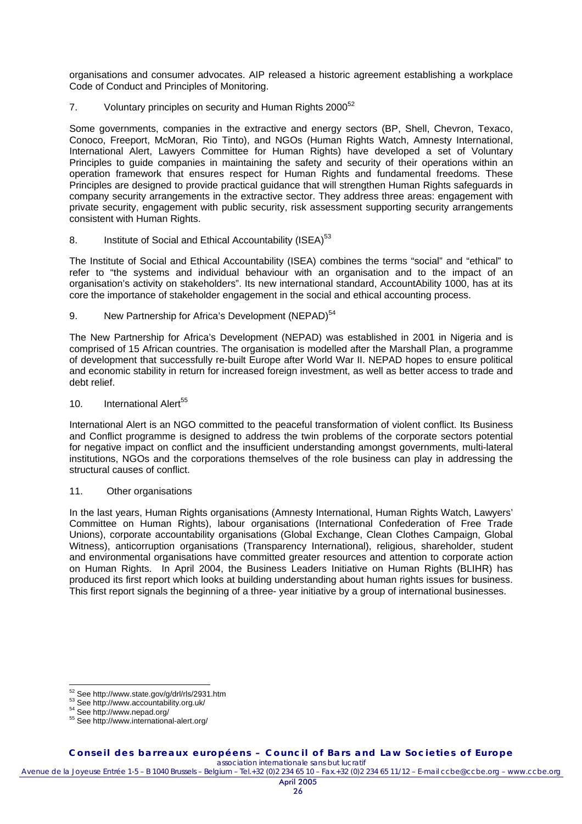organisations and consumer advocates. AIP released a historic agreement establishing a workplace Code of Conduct and Principles of Monitoring.

7. Voluntary principles on security and Human Rights 2000<sup>52</sup>

Some governments, companies in the extractive and energy sectors (BP, Shell, Chevron, Texaco, Conoco, Freeport, McMoran, Rio Tinto), and NGOs (Human Rights Watch, Amnesty International, International Alert, Lawyers Committee for Human Rights) have developed a set of Voluntary Principles to guide companies in maintaining the safety and security of their operations within an operation framework that ensures respect for Human Rights and fundamental freedoms. These Principles are designed to provide practical guidance that will strengthen Human Rights safeguards in company security arrangements in the extractive sector. They address three areas: engagement with private security, engagement with public security, risk assessment supporting security arrangements consistent with Human Rights.

8. Institute of Social and Ethical Accountability (ISEA)<sup>53</sup>

The Institute of Social and Ethical Accountability (ISEA) combines the terms "social" and "ethical" to refer to "the systems and individual behaviour with an organisation and to the impact of an organisation's activity on stakeholders". Its new international standard, AccountAbility 1000, has at its core the importance of stakeholder engagement in the social and ethical accounting process.

9. New Partnership for Africa's Development (NEPAD)<sup>54</sup>

The New Partnership for Africa's Development (NEPAD) was established in 2001 in Nigeria and is comprised of 15 African countries. The organisation is modelled after the Marshall Plan, a programme of development that successfully re-built Europe after World War II. NEPAD hopes to ensure political and economic stability in return for increased foreign investment, as well as better access to trade and debt relief.

10. International Alert<sup>55</sup>

International Alert is an NGO committed to the peaceful transformation of violent conflict. Its Business and Conflict programme is designed to address the twin problems of the corporate sectors potential for negative impact on conflict and the insufficient understanding amongst governments, multi-lateral institutions, NGOs and the corporations themselves of the role business can play in addressing the structural causes of conflict.

11. Other organisations

In the last years, Human Rights organisations (Amnesty International, Human Rights Watch, Lawyers' Committee on Human Rights), labour organisations (International Confederation of Free Trade Unions), corporate accountability organisations (Global Exchange, Clean Clothes Campaign, Global Witness), anticorruption organisations (Transparency International), religious, shareholder, student and environmental organisations have committed greater resources and attention to corporate action on Human Rights. In April 2004, the Business Leaders Initiative on Human Rights (BLIHR) has produced its first report which looks at building understanding about human rights issues for business. This first report signals the beginning of a three- year initiative by a group of international businesses.

 $^{52}$  See http://www.state.gov/g/drl/rls/2931.htm

<sup>53</sup> See http://www.accountability.org.uk/<br>54 See http://www.nepad.org/<br>55 See http://www.international-alert.org/

Avenue de la Joyeuse Entrée 1-5 – B 1040 Brussels – Belgium – Tel.+32 (0)2 234 65 10 – Fax.+32 (0)2 234 65 11/12 – E-mail ccbe@ccbe.org – www.ccbe.org